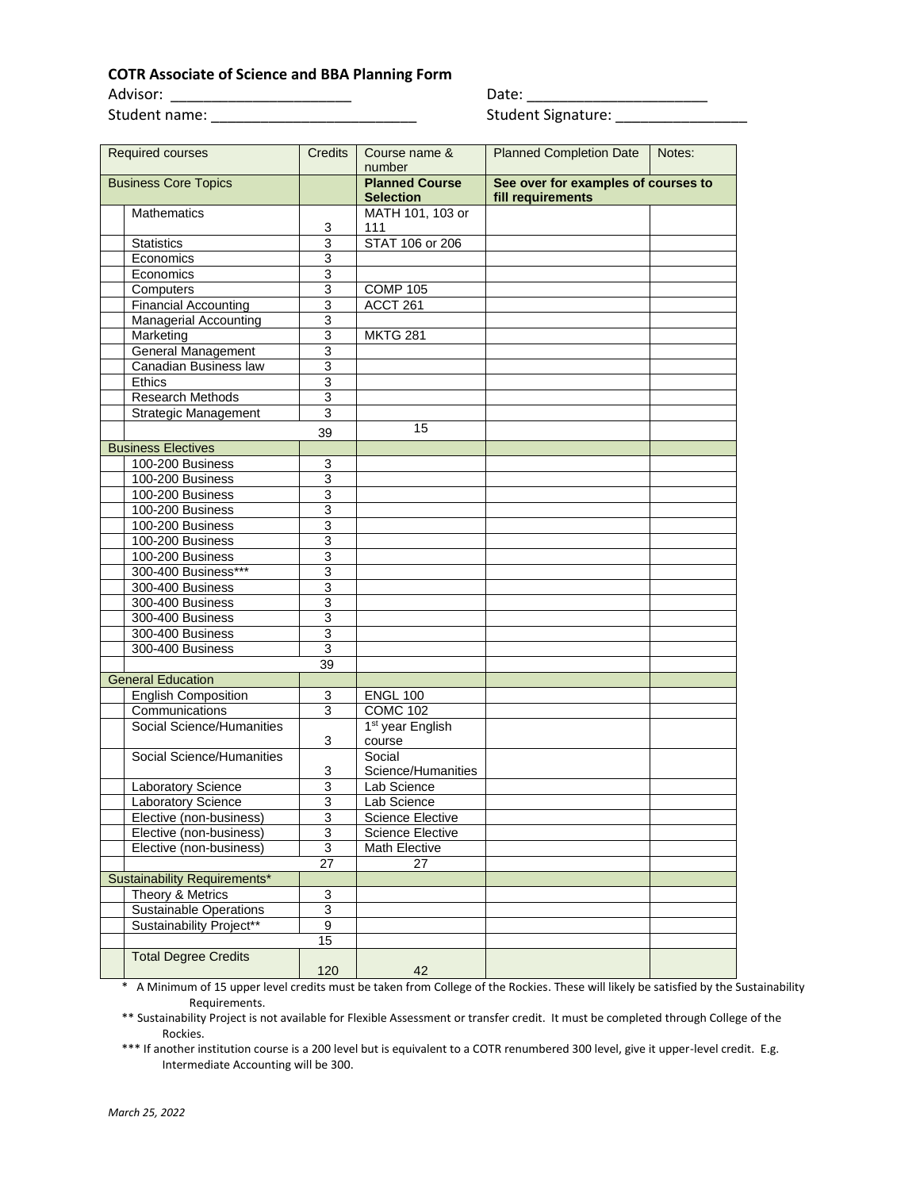## **COTR Associate of Science and BBA Planning Form**

Student name: \_\_\_\_\_\_\_\_\_\_\_\_\_\_\_\_\_\_\_\_\_\_\_\_\_ Student Signature: \_\_\_\_\_\_\_\_\_\_\_\_\_\_\_\_

Advisor: \_\_\_\_\_\_\_\_\_\_\_\_\_\_\_\_\_\_\_\_\_\_ Date: \_\_\_\_\_\_\_\_\_\_\_\_\_\_\_\_\_\_\_\_\_\_

| Required courses              | <b>Credits</b>            | Course name &<br>number                   | <b>Planned Completion Date</b>                           | Notes: |
|-------------------------------|---------------------------|-------------------------------------------|----------------------------------------------------------|--------|
| <b>Business Core Topics</b>   |                           | <b>Planned Course</b><br><b>Selection</b> | See over for examples of courses to<br>fill requirements |        |
| <b>Mathematics</b>            | 3                         | MATH 101, 103 or<br>111                   |                                                          |        |
| <b>Statistics</b>             | 3                         | STAT 106 or 206                           |                                                          |        |
| Economics                     | 3                         |                                           |                                                          |        |
| Economics                     | 3                         |                                           |                                                          |        |
| Computers                     | 3                         | <b>COMP 105</b>                           |                                                          |        |
| <b>Financial Accounting</b>   | 3                         | ACCT 261                                  |                                                          |        |
| <b>Managerial Accounting</b>  | $\ensuremath{\mathsf{3}}$ |                                           |                                                          |        |
| Marketing                     | 3                         | <b>MKTG 281</b>                           |                                                          |        |
| General Management            | 3                         |                                           |                                                          |        |
| Canadian Business law         | 3                         |                                           |                                                          |        |
| Ethics                        | 3                         |                                           |                                                          |        |
| Research Methods              | 3                         |                                           |                                                          |        |
| <b>Strategic Management</b>   | 3                         |                                           |                                                          |        |
|                               | 39                        | 15                                        |                                                          |        |
| <b>Business Electives</b>     |                           |                                           |                                                          |        |
| 100-200 Business              | 3                         |                                           |                                                          |        |
| 100-200 Business              | $\overline{3}$            |                                           |                                                          |        |
| 100-200 Business              | 3                         |                                           |                                                          |        |
| 100-200 Business              | 3                         |                                           |                                                          |        |
| 100-200 Business              | $\overline{3}$            |                                           |                                                          |        |
| 100-200 Business              | 3                         |                                           |                                                          |        |
| 100-200 Business              | 3                         |                                           |                                                          |        |
| 300-400 Business***           | 3                         |                                           |                                                          |        |
| 300-400 Business              | $\overline{3}$            |                                           |                                                          |        |
| 300-400 Business              | 3                         |                                           |                                                          |        |
| 300-400 Business              | $\ensuremath{\mathsf{3}}$ |                                           |                                                          |        |
| 300-400 Business              | $\overline{3}$            |                                           |                                                          |        |
| 300-400 Business              | $\sqrt{3}$                |                                           |                                                          |        |
|                               | 39                        |                                           |                                                          |        |
| <b>General Education</b>      |                           |                                           |                                                          |        |
| English Composition           | 3                         | <b>ENGL 100</b>                           |                                                          |        |
| Communications                | 3                         | <b>COMC 102</b>                           |                                                          |        |
| Social Science/Humanities     |                           | 1 <sup>st</sup> year English              |                                                          |        |
|                               | 3                         | course                                    |                                                          |        |
| Social Science/Humanities     |                           | Social                                    |                                                          |        |
|                               | 3                         | Science/Humanities                        |                                                          |        |
| Laboratory Science            | 3                         | Lab Science                               |                                                          |        |
| Laboratory Science            | 3                         | Lab Science                               |                                                          |        |
| Elective (non-business)       | 3                         | <b>Science Elective</b>                   |                                                          |        |
| Elective (non-business)       | 3                         | <b>Science Elective</b>                   |                                                          |        |
| Elective (non-business)       | 3                         | Math Elective                             |                                                          |        |
| 27                            |                           | 27                                        |                                                          |        |
| Sustainability Requirements*  |                           |                                           |                                                          |        |
| Theory & Metrics              | 3                         |                                           |                                                          |        |
| <b>Sustainable Operations</b> | $\overline{3}$            |                                           |                                                          |        |
| Sustainability Project**      | 9                         |                                           |                                                          |        |
|                               | 15                        |                                           |                                                          |        |
| <b>Total Degree Credits</b>   | 120                       | 42                                        |                                                          |        |

\* A Minimum of 15 upper level credits must be taken from College of the Rockies. These will likely be satisfied by the Sustainability Requirements.

\*\* Sustainability Project is not available for Flexible Assessment or transfer credit. It must be completed through College of the Rockies.

\*\*\* If another institution course is a 200 level but is equivalent to a COTR renumbered 300 level, give it upper-level credit. E.g. Intermediate Accounting will be 300.